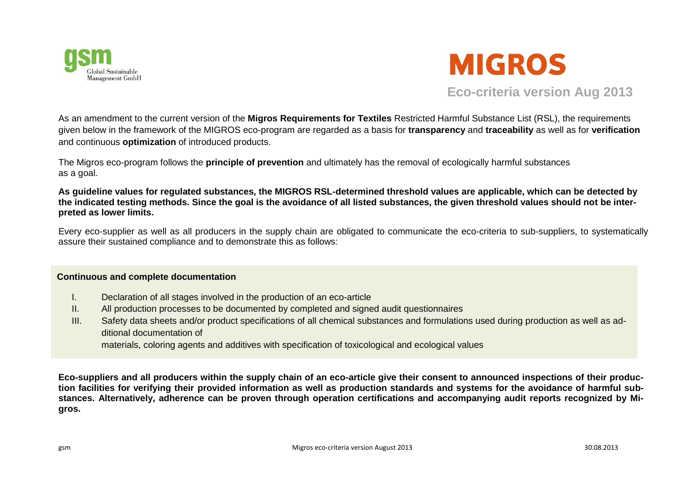



**Eco-criteria version Aug 2013**

As an amendment to the current version of the **Migros Requirements for Textiles** Restricted Harmful Substance List (RSL), the requirements given below in the framework of the MIGROS eco-program are regarded as a basis for **transparency** and **traceability** as well as for **verification** and continuous **optimization** of introduced products.

The Migros eco-program follows the **principle of prevention** and ultimately has the removal of ecologically harmful substances as a goal.

**As guideline values for regulated substances, the MIGROS RSL-determined threshold values are applicable, which can be detected by the indicated testing methods. Since the goal is the avoidance of all listed substances, the given threshold values should not be interpreted as lower limits.**

Every eco-supplier as well as all producers in the supply chain are obligated to communicate the eco-criteria to sub-suppliers, to systematically assure their sustained compliance and to demonstrate this as follows:

## **Continuous and complete documentation**

- I. Declaration of all stages involved in the production of an eco-article
- II. All production processes to be documented by completed and signed audit questionnaires
- III. Safety data sheets and/or product specifications of all chemical substances and formulations used during production as well as additional documentation of

materials, coloring agents and additives with specification of toxicological and ecological values

**Eco-suppliers and all producers within the supply chain of an eco-article give their consent to announced inspections of their production facilities for verifying their provided information as well as production standards and systems for the avoidance of harmful substances. Alternatively, adherence can be proven through operation certifications and accompanying audit reports recognized by Migros.**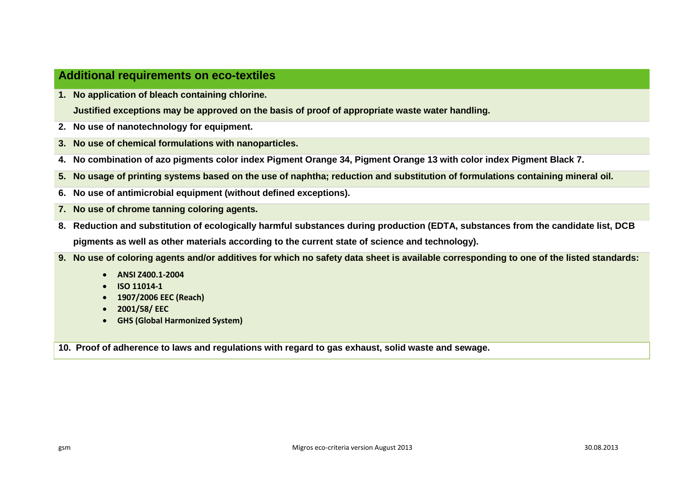## **Additional requirements on eco-textiles**

**1. No application of bleach containing chlorine.** 

**Justified exceptions may be approved on the basis of proof of appropriate waste water handling.**

- **2. No use of nanotechnology for equipment.**
- **3. No use of chemical formulations with nanoparticles.**
- **4. No combination of azo pigments color index Pigment Orange 34, Pigment Orange 13 with color index Pigment Black 7.**
- **5. No usage of printing systems based on the use of naphtha; reduction and substitution of formulations containing mineral oil.**
- **6. No use of antimicrobial equipment (without defined exceptions).**
- **7. No use of chrome tanning coloring agents.**
- **8. Reduction and substitution of ecologically harmful substances during production (EDTA, substances from the candidate list, DCB pigments as well as other materials according to the current state of science and technology).**
- **9. No use of coloring agents and/or additives for which no safety data sheet is available corresponding to one of the listed standards:**
	- **ANSI Z400.1-2004**
	- **ISO 11014-1**
	- **1907/2006 EEC (Reach)**
	- **2001/58/ EEC**
	- **GHS (Global Harmonized System)**

**10. Proof of adherence to laws and regulations with regard to gas exhaust, solid waste and sewage.**